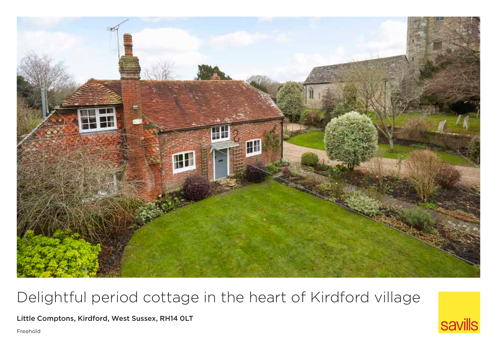

# Delightful period cottage in the heart of Kirdford village

Little Comptons, Kirdford, West Sussex, RH14 0LT

Freehold

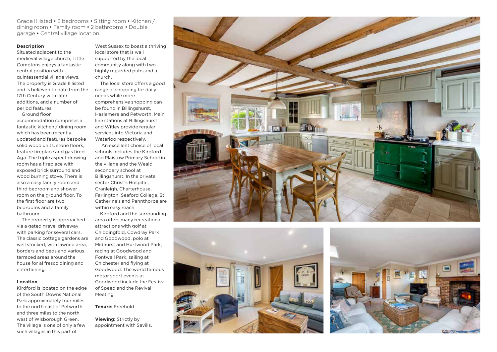Grade II listed • 3 bedrooms • Sitting room • Kitchen / dining room • Family room • 2 bathrooms • Double garage • Central village location

### **Description**

Situated adjacent to the medieval village church, Little Comptons enjoys a fantastic central position with quintessential village views. The property is Grade II listed and is believed to date from the 17th Century with later additions, and a number of period features.

Ground floor accommodation comprises a fantastic kitchen / dining room which has been recently updated and features bespoke solid wood units, stone floors, feature fireplace and gas fired Aga. The triple aspect drawing room has a fireplace with exposed brick surround and wood burning stove. There is also a cosy family room and third bedroom and shower room on the ground floor. To the first floor are two bedrooms and a family bathroom.

The property is approached via a gated gravel driveway with parking for several cars. The classic cottage gardens are well stocked, with lawned area, borders and beds and various terraced areas around the house for al fresco dining and entertaining.

#### **Location**

Kirdford is located on the edge of the South Downs National Park approximately four miles to the north east of Petworth and three miles to the north west of Wisborough Green. The village is one of only a few such villages in this part of

West Sussex to boast a thriving local store that is well supported by the local community along with two highly regarded pubs and a church.

The local store offers a good range of shopping for daily needs while more comprehensive shopping can be found in Billingshurst, Haslemere and Petworth. Main line stations at Billingshurst and Witley provide regular services into Victoria and Waterloo respectively.

 An excellent choice of local schools includes the Kirdford and Plaistow Primary School in the village and the Weald secondary school at Billingshurst. In the private sector Christ's Hospital. Cranleigh, Charterhouse, Farlington, Seaford College, St Catherine's and Pennthorpe are within easy reach.

Kirdford and the surrounding area offers many recreational attractions with golf at Chiddingfold, Cowdray Park and Goodwood, polo at Midhurst and Hurtwood Park, racing at Goodwood and Fontwell Park, sailing at Chichester and flying at Goodwood. The world famous motor sport events at Goodwood include the Festival of Speed and the Revival Meeting.

#### **Tenure:** Freehold

**Viewing:** Strictly by appointment with Savills.





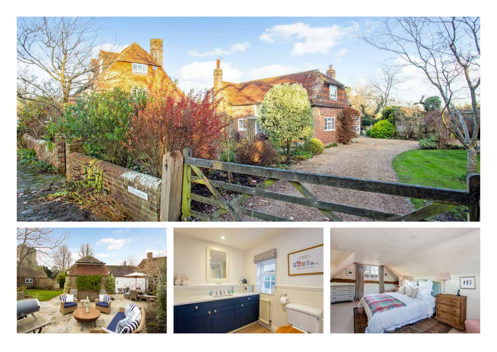